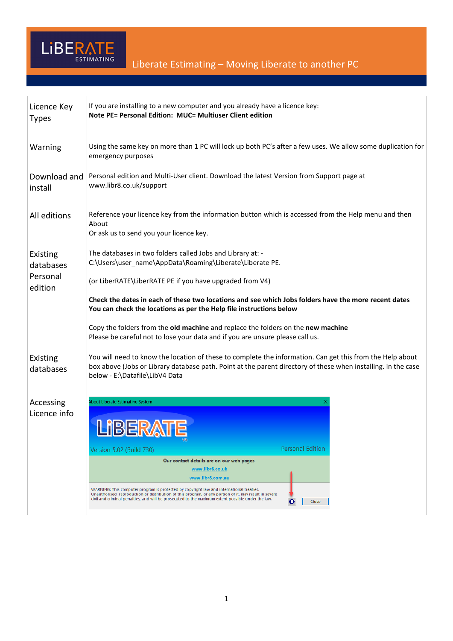

| Licence Key<br><b>Types</b> | If you are installing to a new computer and you already have a licence key:<br>Note PE= Personal Edition: MUC= Multiuser Client edition                                                                                                                                                                 |  |  |
|-----------------------------|---------------------------------------------------------------------------------------------------------------------------------------------------------------------------------------------------------------------------------------------------------------------------------------------------------|--|--|
| Warning                     | Using the same key on more than 1 PC will lock up both PC's after a few uses. We allow some duplication for<br>emergency purposes                                                                                                                                                                       |  |  |
| Download and<br>install     | Personal edition and Multi-User client. Download the latest Version from Support page at<br>www.libr8.co.uk/support                                                                                                                                                                                     |  |  |
| All editions                | Reference your licence key from the information button which is accessed from the Help menu and then<br>About<br>Or ask us to send you your licence key.                                                                                                                                                |  |  |
| Existing<br>databases       | The databases in two folders called Jobs and Library at: -<br>C:\Users\user_name\AppData\Roaming\Liberate\Liberate PE.                                                                                                                                                                                  |  |  |
| Personal<br>edition         | (or LiberRATE\LiberRATE PE if you have upgraded from V4)                                                                                                                                                                                                                                                |  |  |
|                             | Check the dates in each of these two locations and see which Jobs folders have the more recent dates<br>You can check the locations as per the Help file instructions below                                                                                                                             |  |  |
|                             | Copy the folders from the old machine and replace the folders on the new machine<br>Please be careful not to lose your data and if you are unsure please call us.                                                                                                                                       |  |  |
| Existing<br>databases       | You will need to know the location of these to complete the information. Can get this from the Help about<br>box above (Jobs or Library database path. Point at the parent directory of these when installing. in the case<br>below - E:\Datafile\LibV4 Data                                            |  |  |
| Accessing                   | bout Liberate Estimating System                                                                                                                                                                                                                                                                         |  |  |
| Licence info                |                                                                                                                                                                                                                                                                                                         |  |  |
|                             | <b>Personal Edition</b><br>Version 5.02 (Build 730)                                                                                                                                                                                                                                                     |  |  |
|                             | Our contact details are on our web pages<br>www.libr8.co.uk                                                                                                                                                                                                                                             |  |  |
|                             | www.libr8.com.au                                                                                                                                                                                                                                                                                        |  |  |
|                             | WARNING: This computer program is protected by copyright law and international treaties.<br>Unauthorised reproduction or distribution of this program, or any portion of it, may result in severe<br>civil and criminal penalties, and will be prosecuted to the maximum extent possible under the law. |  |  |

 $\bigodot$  Close